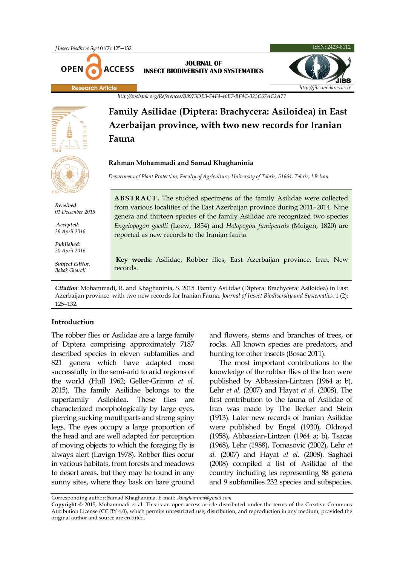

### **JOURNAL OF INSECT BIODIVERSITY AND SYSTEMATICS**



*http://zoobank.org/References/B8973DE3-F4F4-46E7-BF4C-323C67AC2A77*

**Family Asilidae (Diptera: Brachycera: Asiloidea) in East Azerbaijan province, with two new records for Iranian Fauna**

### **Rahman Mohammadi and Samad Khaghaninia**

*Department of Plant Protection, Faculty of Agriculture, University of Tabriz, 51664, Tabriz, I.R.Iran*

**ABSTRACT.** The studied specimens of the family Asilidae were collected from various localities of the East Azerbaijan province during 2011–2014. Nine genera and thirteen species of the family Asilidae are recognized two species *Engelopogon goedli* (Loew, 1854) and *Holopogon fumipennis* (Meigen, 1820) are reported as new records to the Iranian fauna.

**Key words:** Asilidae, Robber flies, East Azerbaijan province, Iran, New records.

*Citation*: Mohammadi, R. and Khaghaninia, S. 2015. Family Asilidae (Diptera: Brachycera: Asiloidea) in East Azerbaijan province, with two new records for Iranian Fauna. *Journal of Insect Biodiversity and Systematics*, 1 (2): 125–132.

### **Introduction**

The robber flies or Asilidae are a large family of Diptera comprising approximately 7187 described species in eleven subfamilies and 821 genera which have adapted most successfully in the semi-arid to arid regions of the world (Hull 1962; Geller-Grimm *et al.* 2015). The family Asilidae belongs to the superfamily Asiloidea. These flies are characterized morphologically by large eyes, piercing sucking mouthparts and strong spiny legs. The eyes occupy a large proportion of the head and are well adapted for perception of moving objects to which the foraging fly is always alert (Lavign 1978). Robber flies occur in various habitats, from forests and meadows to desert areas, but they may be found in any sunny sites, where they bask on bare ground and flowers, stems and branches of trees, or rocks. All known species are predators, and hunting for other insects (Bosac 2011).

The most important contributions to the knowledge of the robber flies of the Iran were published by Abbassian-Lintzen (1964 a; b), Lehr *et al.* (2007) and Hayat *et al.* (2008). The first contribution to the fauna of Asilidae of Iran was made by The Becker and Stein (1913). Later new records of Iranian Asilidae were published by Engel (1930), Oldroyd (1958), Abbassian-Lintzen (1964 a; b), Tsacas (1968), Lehr (1988), Tomasović (2002), Lehr *et al.* (2007) and Hayat *et al.* (2008). Saghaei (2008) compiled a list of Asilidae of the country including ies representing 88 genera and 9 subfamilies 232 species and subspecies.

Corresponding author: Samad Khaghaninia, E-mail: *skhaghaninia@gmail.com*

**Copyright** © 2015, Mohammadi et al. This is an open access article distributed under the terms of the Creative Commons Attribution License (CC BY 4.0), which permits unrestricted use, distribution, and reproduction in any medium, provided the original author and source are credited.



*Received: 01 December 2015*

*Accepted: 26 April 2016*

*Published: 30 April 2016*

*Subject Editor: Babak Gharali*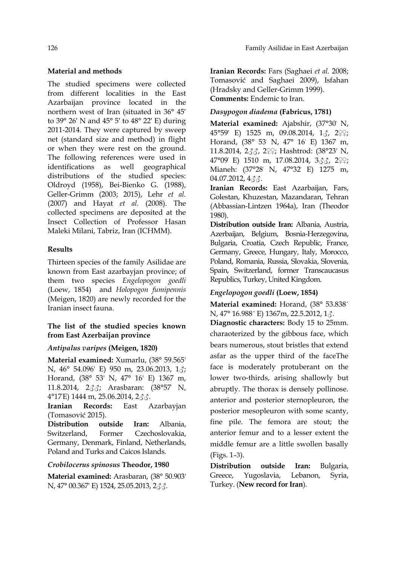# **Material and methods**

The studied specimens were collected from different localities in the East Azarbaijan province located in the northern west of Iran (situated in 36° 45′ to 39° 26′ N and 45° 5′ to 48° 22′ E) during 2011-2014. They were captured by sweep net (standard size and method) in flight or when they were rest on the ground. The following references were used in identifications as well geographical distributions of the studied species: Oldroyd (1958), Bei-Bienko G. (1988), Geller-Grimm (2003; 2015), Lehr *et al.* (2007) and Hayat *et al.* (2008). The collected specimens are deposited at the Insect Collection of Professor Hasan Maleki Milani, Tabriz, Iran (ICHMM).

# **Results**

Thirteen species of the family Asilidae are known from East azarbayjan province; of them two species *Engelopogon goedli* (Loew, 1854) and *Holopogon fumipennis* (Meigen, 1820) are newly recorded for the Iranian insect fauna.

# **The list of the studied species known from East Azerbaijan province**

# *Antipalus varipes* **(Meigen, 1820)**

**Material examined:** Xumarlu, (38° 59.565' N, 46° 54.096' E) 950 m, 23.06.2013, 1♂; Horand, (38° 53' N, 47° 16' E) 1367 m, 11.8.2014, 2♂♂; Arasbaran: (38°57' N, 4°17'E) 1444 m, 25.06.2014, 2♂♂.

**Iranian Records:** East Azarbayjan (Tomasović 2015).

**Distribution outside Iran:** Albania, Switzerland, Former Czechoslovakia, Germany, Denmark, Finland, Netherlands, Poland and Turks and Caicos Islands.

# *Crobilocerus spinosus* **Theodor, 1980**

**Material examined:** Arasbaran, (38° 50.903' N, 47° 00.367' E) 1524, 25.05.2013, 2♂♂.

**Iranian Records:** Fars (Saghaei *et al.* 2008; Tomasović and Saghaei 2009), Isfahan (Hradsky and Geller-Grimm 1999). **Comments:** Endemic to Iran.

# *Dasypogon diadema* **(Fabricus, 1781)**

**Material examined:** Ajabshir, (37°30' N, 45°59' E) 1525 m, 09.08.2014, 13, 299; Horand, (38° 53' N, 47° 16' E) 1367 m, 11.8.2014, 2♂♂, 2♀♀; Hashtrod: (38°23' N, 47°09' E) 1510 m, 17.08.2014, 3♂♂, 2♀♀; Mianeh: (37°28' N, 47°32' E) 1275 m,  $04.07.2012, 433.$ 

**Iranian Records:** East Azarbaijan, Fars, Golestan, Khuzestan, Mazandaran, Tehran (Abbassian-Lintzen 1964a), Iran (Theodor 1980).

**Distribution outside Iran:** Albania, Austria, Azerbaijan, Belgium, Bosnia-Herzegovina, Bulgaria, Croatia, Czech Republic, France, Germany, Greece, Hungary, Italy, Morocco, Poland, Romania, Russia, Slovakia, Slovenia, Spain, Switzerland, former Transcaucasus Republics, Turkey, United Kingdom.

# *Engelopogon goedli* **(Loew, 1854)**

**Material examined:** Horand, (38° 53.838´ N, 47° 16.988´ E) 1367m, 22.5.2012, 1♂.

**Diagnostic characters:** Body 15 to 25mm. charaoterized by the gibbous face, which bears numerous, stout bristles that extend asfar as the upper third of the faceThe face is moderately protuberant on the lower two-thirds, arising shallowly but abruptly. The thorax is densely pollinose. anterior and posterior sternopleuron, the posterior mesopleuron with some scanty, fine pile. The femora are stout; the anterior femur and to a lesser extent the middle femur are a little swollen basally (Figs. 1–3).

**Distribution outside Iran:** Bulgaria, Greece, Yugoslavia, Lebanon, Syria, Turkey. (**New record for Iran**).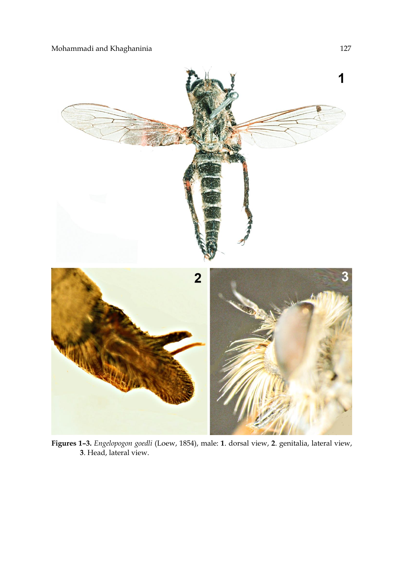

**Figures 1–3.** *Engelopogon goedli* (Loew, 1854), male: **1**. dorsal view, **2**. genitalia, lateral view, **3**. Head, lateral view.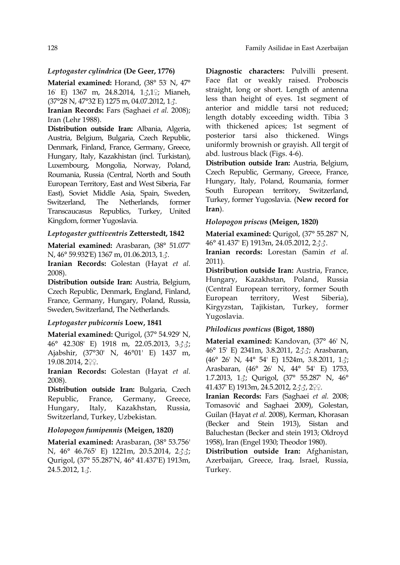### *Leptogaster cylindrica* **(De Geer, 1776)**

**Material examined:** Horand, (38° 53' N, 47° 16' E) 1367 m, 24.8.2014, 1♂,1♀; Mianeh, (37°28' N, 47°32' E) 1275 m, 04.07.2012, 1♂.

**Iranian Records:** Fars (Saghaei *et al.* 2008); Iran (Lehr 1988).

**Distribution outside Iran:** Albania, Algeria, Austria, Belgium, Bulgaria, Czech Republic, Denmark, Finland, France, Germany, Greece, Hungary, Italy, Kazakhistan (incl. Turkistan), Luxembourg, Mongolia, Norway, Poland, Roumania, Russia (Central, North and South European Territory, East and West Siberia, Far East), Soviet Middle Asia, Spain, Sweden, Switzerland, The Netherlands, former Transcaucasus Republics, Turkey, United Kingdom, former Yugoslavia.

### *Leptogaster guttiventris* **Zetterstedt, 1842**

**Material examined:** Arasbaran, (38° 51.077' N, 46° 59.932'E) 1367 m, 01.06.2013, 1♂.

**Iranian Records:** Golestan (Hayat *et al.* 2008).

**Distribution outside Iran:** Austria, Belgium, Czech Republic, Denmark, England, Finland, France, Germany, Hungary, Poland, Russia, Sweden, Switzerland, The Netherlands.

### *Leptogaster pubicornis* **Loew, 1841**

**Material examined:** Qurigol, (37° 54.929' N, 46° 42.308' E) 1918 m, 22.05.2013, 3♂♂; Ajabshir, (37°30' N, 46°01' E) 1437 m, 19.08.2014, 2♀♀.

**Iranian Records:** Golestan (Hayat *et al.* 2008).

**Distribution outside Iran:** Bulgaria, Czech Republic, France, Germany, Greece, Hungary, Italy, Kazakhstan, Russia, Switzerland, Turkey, Uzbekistan.

### *Holopogon fumipennis* **(Meigen, 1820)**

**Material examined:** Arasbaran, (38° 53.756' N, 46° 46.765' E) 1221m, 20.5.2014, 2♂♂; Qurigol, (37° 55.287'N, 46° 41.437'E) 1913m,  $24.5.2012, 13.$ 

**Diagnostic characters:** Pulvilli present. Face flat or weakly raised. Proboscis straight, long or short. Length of antenna less than height of eyes. 1st segment of anterior and middle tarsi not reduced; length dotably exceeding width. Tibia 3 with thickened apices; 1st segment of posterior tarsi also thickened. Wings uniformly brownish or grayish. All tergit of abd. lustrous black (Figs. 4-6).

**Distribution outside Iran:** Austria, Belgium, Czech Republic, Germany, Greece, France, Hungary, Italy, Poland, Roumania, former South European territory, Switzerland, Turkey, former Yugoslavia. (**New record for Iran**).

### *Holopogon priscus* **(Meigen, 1820)**

**Material examined:** Qurigol, (37° 55.287' N, 46° 41.437' E) 1913m, 24.05.2012, 2♂♂.

**Iranian records:** Lorestan (Samin *et al.* 2011).

**Distribution outside Iran:** Austria, France, Hungary, Kazakhstan, Poland, Russia (Central European territory, former South European territory, West Siberia), Kirgyzstan, Tajikistan, Turkey, former Yugoslavia.

#### *Philodicus ponticus* **(Bigot, 1880)**

**Material examined:** Kandovan, (37° 46' N, 46° 15' E) 2341m, 3.8.2011, 2♂♂; Arasbaran, (46° 26' N, 44° 54' E) 1524m, 3.8.2011, 1♂; Arasbaran, (46° 26' N, 44° 54' E) 1753, 1.7.2013, 1♂; Qurigol, (37° 55.287' N, 46° 41.437' E) 1913m, 24.5.2012, 233, 299.

**Iranian Records:** Fars (Saghaei *et al.* 2008; Tomasović and Saghaei 2009), Golestan, Guilan (Hayat *et al.* 2008), Kerman, Khorasan (Becker and Stein 1913), Sistan and Baluchestan (Becker and stein 1913; Oldroyd 1958), Iran (Engel 1930; Theodor 1980).

**Distribution outside Iran:** Afghanistan, Azerbaijan, Greece, Iraq, Israel, Russia, Turkey.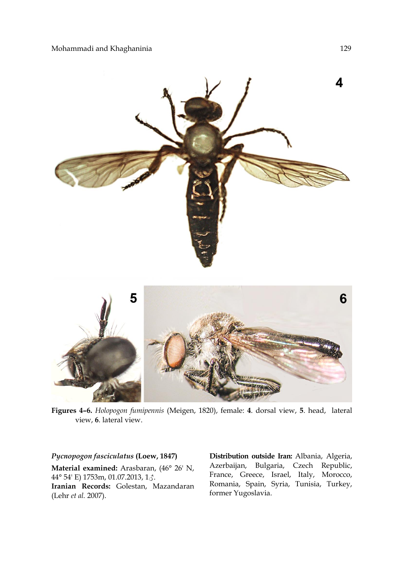

**Figures 4–6.** *Holopogon fumipennis* (Meigen, 1820), female: **4**. dorsal view, **5**. head, lateral view, **6**. lateral view.

# *Pycnopogon fasciculatus* **(Loew, 1847)**

**Material examined:** Arasbaran, (46° 26' N, 44° 54' E) 1753m, 01.07.2013, 1♂. **Iranian Records:** Golestan, Mazandaran (Lehr *et al.* 2007).

**Distribution outside Iran:** Albania, Algeria, Azerbaijan, Bulgaria, Czech Republic, France, Greece, Israel, Italy, Morocco, Romania, Spain, Syria, Tunisia, Turkey, former Yugoslavia.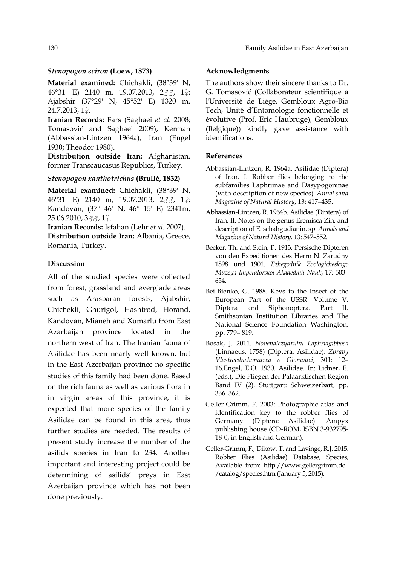### *Stenopogon sciron* **(Loew, 1873)**

**Material examined:** Chichakli, (38°39' N, 46°31' E) 2140 m, 19.07.2013, 2♂♂, 1♀; Ajabshir (37°29' N, 45°52' E) 1320 m, 24.7.2013, 1♀.

**Iranian Records:** Fars (Saghaei *et al.* 2008; Tomasović and Saghaei 2009), Kerman (Abbassian-Lintzen 1964a), Iran (Engel 1930; Theodor 1980).

**Distribution outside Iran:** Afghanistan, former Transcaucasus Republics, Turkey.

#### *Stenopogon xanthotrichus* **(Brullé, 1832)**

**Material examined:** Chichakli, (38°39' N, 46°31' E) 2140 m, 19.07.2013, 2♂♂, 1♀; Kandovan, (37° 46' N, 46° 15' E) 2341m, 25.06.2010, 3♂♂, 1♀.

**Iranian Records:** Isfahan (Lehr *et al.* 2007).

**Distribution outside Iran:** Albania, Greece, Romania, Turkey.

#### **Discussion**

All of the studied species were collected from forest, grassland and everglade areas such as Arasbaran forests, Ajabshir, Chichekli, Ghurigol, Hashtrod, Horand, Kandovan, Mianeh and Xumarlu from East Azarbaijan province located in the northern west of Iran. The Iranian fauna of Asilidae has been nearly well known, but in the East Azerbaijan province no specific studies of this family had been done. Based on the rich fauna as well as various flora in in virgin areas of this province, it is expected that more species of the family Asilidae can be found in this area, thus further studies are needed. The results of present study increase the number of the asilids species in Iran to 234. Another important and interesting project could be determining of asilids' preys in East Azerbaijan province which has not been done previously.

#### **Acknowledgments**

The authors show their sincere thanks to Dr. G. Tomasović (Collaborateur scientifique à l'Université de Liège, Gembloux Agro-Bio Tech, Unité d'Entomologie fonctionnelle et évolutive (Prof. Eric Haubruge), Gembloux (Belgique)) kindly gave assistance with identifications.

#### **References**

- Abbassian-Lintzen, R. 1964a. Asilidae (Diptera) of Iran. I. Robber flies belonging to the subfamilies Laphriinae and Dasypogoninae (with description of new species). *Annal sand Magazine of Natural History*, 13: 417–435.
- Abbassian-Lintzen, R. 1964b. Asilidae (Diptera) of Iran. II. Notes on the genus Eremisca Zin. and description of E. schahgudianin. sp. *Annals and Magazine of Natural History,* 13: 547–552.
- Becker, Th. and Stein, P. 1913. Persische Dipteren von den Expeditionen des Herrn N. Zarudny 1898 und 1901. *Ezhegodnik Zoologicheskago Muzeya Imperatorskoi Akadedmii Nauk*, 17: 503– 654.
- Bei-Bienko, G. 1988. Keys to the Insect of the European Part of the USSR. Volume V. Diptera and Siphonoptera. Part II. Smithsonian Institution Libraries and The National Science Foundation Washington, pp. 779– 819.
- Bosak, J. 2011. *Novenalezydruhu Laphriagibbosa* (Linnaeus, 1758) (Diptera, Asilidae). *Zpravy Vlastivednehomuzea v Olomouci*, 301: 12– 16.Engel, E.O. 1930. Asilidae. In: Lidner, E. (eds.), Die Fliegen der Palaarktischen Region Band IV (2). Stuttgart: Schweizerbart, pp. 336–362.
- Geller-Grimm, F. 2003: Photographic atlas and identification key to the robber flies of Germany (Diptera: Asilidae). Ampyx publishing house (CD-ROM, ISBN 3-932795- 18-0, in English and German).
- Geller-Grimm, F., Dikow, T. and Lavinge, R.J. 2015. Robber Flies (Asilidae) Database, Species, Available from: http://www.gellergrimm.de /catalog/species.htm (January 5, 2015).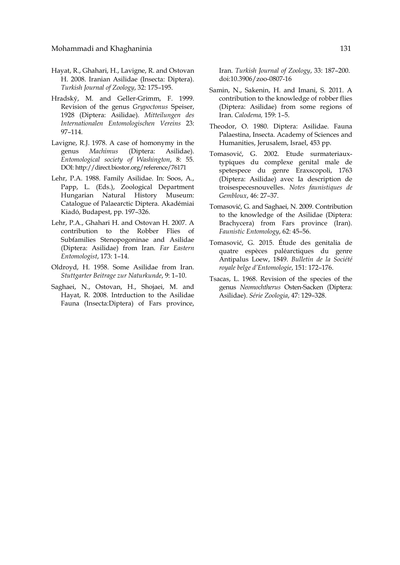- Hayat, R., Ghahari, H., Lavigne, R. and Ostovan H. 2008. Iranian Asilidae (Insecta: Diptera). *Turkish Journal of Zoology*, 32: 175–195.
- Hradský, M. and Geller-Grimm, F. 1999. Revision of the genus *Grypoctonus* Speiser, 1928 (Diptera: Asilidae). *Mitteilungen des Internationalen Entomologischen Vereins* 23: 97–114.
- Lavigne, R.J. 1978. A case of homonymy in the genus *Machimus* (Diptera: Asilidae). *Entomological society of Washington*, 8: 55. DOI: http://direct.biostor.org/reference/76171
- Lehr, P.A. 1988. Family Asilidae. In: Soos, A., Papp, L. (Eds.), Zoological Department Hungarian Natural History Museum: Catalogue of Palaearctic Diptera. Akadémiai Kiadó, Budapest, pp. 197–326.
- Lehr, P.A., Ghahari H. and Ostovan H. 2007. A contribution to the Robber Flies of Subfamilies Stenopogoninae and Asilidae (Diptera: Asilidae) from Iran. *Far Eastern Entomologist*, 173: 1–14.
- Oldroyd, H. 1958. Some Asilidae from Iran. *Stuttgarter Beitrage zur Naturkunde*, 9: 1–10.
- Saghaei, N., Ostovan, H., Shojaei, M. and Hayat, R. 2008. Intrduction to the Asilidae Fauna (Insecta:Diptera) of Fars province,

Iran. *Turkish Journal of Zoology*, 33: 187–200. doi:10.3906/zoo-0807-16

- Samin, N., Sakenin, H. and Imani, S. 2011. A contribution to the knowledge of robber flies (Diptera: Asilidae) from some regions of Iran. *Calodema,* 159: 1–5.
- Theodor, O. 1980. Diptera: Asilidae. Fauna Palaestina, Insecta. Academy of Sciences and Humanities, Jerusalem, Israel, 453 pp.
- Tomasović, G. 2002. Etude surmateriauxtypiques du complexe genital male de spetespece du genre Eraxscopoli, 1763 (Diptera: Asilidae) avec Ia description de troisespecesnouvelles. *Notes faunistiques de Gembloux*, 46: 27–37.
- Tomasović, G. and Saghaei, N. 2009. Contribution to the knowledge of the Asilidae (Diptera: Brachycera) from Fars province (Iran). *Faunistic Entomology*, 62: 45–56.
- Tomasović, G. 2015. Étude des genitalia de quatre espèces paléarctiques du genre Antipalus Loew, 1849. *Bulletin de la Société royale belge d'Entomologie*, 151: 172–176.
- Tsacas, L. 1968. Revision of the species of the genus *Neomochtherus* Osten-Sacken (Diptera: Asilidae). *Série Zoologia*, 47: 129–328.